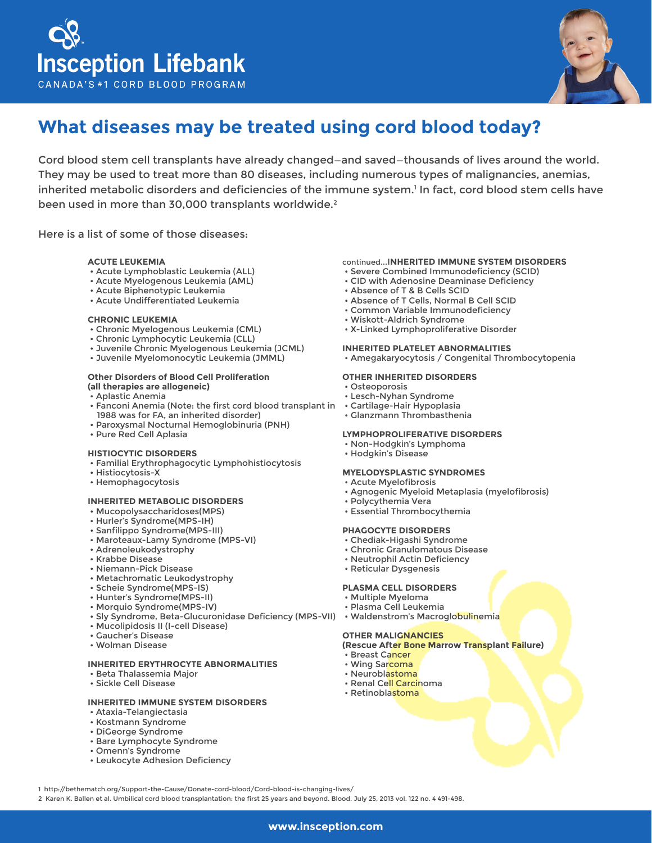



# **What diseases may be treated using cord blood today?**

Cord blood stem cell transplants have already changed—and saved—thousands of lives around the world. They may be used to treat more than 80 diseases, including numerous types of malignancies, anemias, inherited metabolic disorders and deficiencies of the immune system.<sup>1</sup> In fact, cord blood stem cells have been used in more than 30,000 transplants worldwide.<sup>2</sup>

Here is a list of some of those diseases:

# **ACUTE LEUKEMIA**

- Acute Lymphoblastic Leukemia (ALL)
- Acute Myelogenous Leukemia (AML)
- Acute Biphenotypic Leukemia
- Acute Undifferentiated Leukemia

#### **CHRONIC LEUKEMIA**

- Chronic Myelogenous Leukemia (CML)
- Chronic Lymphocytic Leukemia (CLL)
- Juvenile Chronic Myelogenous Leukemia (JCML)
- Juvenile Myelomonocytic Leukemia (JMML)

#### **Other Disorders of Blood Cell Proliferation (all therapies are allogeneic)**

- Aplastic Anemia
- Fanconi Anemia (Note: the first cord blood transplant in Cartilage-Hair Hypoplasia 1988 was for FA, an inherited disorder)
- Paroxysmal Nocturnal Hemoglobinuria (PNH)
- Pure Red Cell Aplasia

## **HISTIOCYTIC DISORDERS**

- Familial Erythrophagocytic Lymphohistiocytosis
- Histiocytosis-X
- Hemophagocytosis

## **INHERITED METABOLIC DISORDERS**

- Mucopolysaccharidoses(MPS)
- Hurler's Syndrome(MPS-IH)
- Sanfilippo Syndrome(MPS-III)
- Maroteaux-Lamy Syndrome (MPS-VI)
- Adrenoleukodystrophy
- Krabbe Disease
- Niemann-Pick Disease
- Metachromatic Leukodystrophy
- Scheie Syndrome(MPS-IS)
- Hunter's Syndrome(MPS-II)
- Morquio Syndrome(MPS-IV)
- Sly Syndrome, Beta-Glucuronidase Deficiency (MPS-VII) Waldenstrom's Macroglobulinemia
- Mucolipidosis II (I-cell Disease)
- Gaucher's Disease
- Wolman Disease

# **INHERITED ERYTHROCYTE ABNORMALITIES**

- Beta Thalassemia Major
- Sickle Cell Disease

# **INHERITED IMMUNE SYSTEM DISORDERS**

- Ataxia-Telangiectasia
- Kostmann Syndrome
- DiGeorge Syndrome
- Bare Lymphocyte Syndrome
- Omenn's Syndrome
- Leukocyte Adhesion Deficiency

### continued...I**NHERITED IMMUNE SYSTEM DISORDERS**

- Severe Combined Immunodeficiency (SCID)
- CID with Adenosine Deaminase Deficiency
- Absence of T & B Cells SCID
- Absence of T Cells, Normal B Cell SCID
- Common Variable Immunodeficiency
- Wiskott-Aldrich Syndrome
- X-Linked Lymphoproliferative Disorder

#### **INHERITED PLATELET ABNORMALITIES**

• Amegakaryocytosis / Congenital Thrombocytopenia

#### **OTHER INHERITED DISORDERS**

- Osteoporosis
- Lesch-Nyhan Syndrome
- 
- Glanzmann Thrombasthenia

# **LYMPHOPROLIFERATIVE DISORDERS**

- Non-Hodgkin's Lymphoma
- Hodgkin's Disease

# **MYELODYSPLASTIC SYNDROMES**

- Acute Myelofibrosis
- Agnogenic Myeloid Metaplasia (myelofibrosis)
- Polycythemia Vera
- Essential Thrombocythemia

#### **PHAGOCYTE DISORDERS**

- Chediak-Higashi Syndrome
- Chronic Granulomatous Disease
- Neutrophil Actin Deficiency
- Reticular Dysgenesis

#### **PLASMA CELL DISORDERS**

- Multiple Myeloma
- Plasma Cell Leukemia
- 

### **OTHER MALIGNANCIES**

#### **(Rescue After Bone Marrow Transplant Failure)**

- Breast Cancer
- Wing Sarcoma
- Neuroblastoma
- Renal Cell Carcinoma
- Retinoblastoma

1 http://bethematch.org/Support-the-Cause/Donate-cord-blood/Cord-blood-is-changing-lives/

2 Karen K. Ballen et al. Umbilical cord blood transplantation: the first 25 years and beyond. Blood. July 25, 2013 vol. 122 no. 4 491-498.